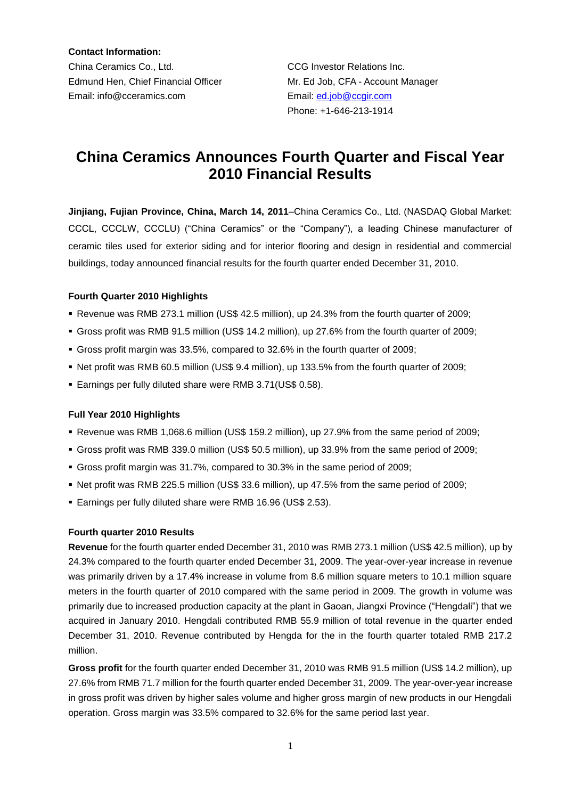**Contact Information:** China Ceramics Co., Ltd. CCG Investor Relations Inc. Edmund Hen, Chief Financial Officer Mr. Ed Job, CFA - Account Manager Email: info@cceramics.com Email: [ed.job@ccgir.com](mailto:ed.job@ccgir.com)

Phone: +1-646-213-1914

# **China Ceramics Announces Fourth Quarter and Fiscal Year 2010 Financial Results**

**Jinjiang, Fujian Province, China, March 14, 2011**–China Ceramics Co., Ltd. (NASDAQ Global Market: CCCL, CCCLW, CCCLU) ("China Ceramics" or the "Company"), a leading Chinese manufacturer of ceramic tiles used for exterior siding and for interior flooring and design in residential and commercial buildings, today announced financial results for the fourth quarter ended December 31, 2010.

## **Fourth Quarter 2010 Highlights**

- Revenue was RMB 273.1 million (US\$ 42.5 million), up 24.3% from the fourth quarter of 2009;
- Gross profit was RMB 91.5 million (US\$ 14.2 million), up 27.6% from the fourth quarter of 2009;
- Gross profit margin was 33.5%, compared to 32.6% in the fourth quarter of 2009;
- Net profit was RMB 60.5 million (US\$ 9.4 million), up 133.5% from the fourth quarter of 2009;
- Earnings per fully diluted share were RMB 3.71(US\$ 0.58).

## **Full Year 2010 Highlights**

- Revenue was RMB 1,068.6 million (US\$ 159.2 million), up 27.9% from the same period of 2009;
- Gross profit was RMB 339.0 million (US\$ 50.5 million), up 33.9% from the same period of 2009;
- Gross profit margin was 31.7%, compared to 30.3% in the same period of 2009;
- Net profit was RMB 225.5 million (US\$ 33.6 million), up 47.5% from the same period of 2009;
- Earnings per fully diluted share were RMB 16.96 (US\$ 2.53).

## **Fourth quarter 2010 Results**

**Revenue** for the fourth quarter ended December 31, 2010 was RMB 273.1 million (US\$ 42.5 million), up by 24.3% compared to the fourth quarter ended December 31, 2009. The year-over-year increase in revenue was primarily driven by a 17.4% increase in volume from 8.6 million square meters to 10.1 million square meters in the fourth quarter of 2010 compared with the same period in 2009. The growth in volume was primarily due to increased production capacity at the plant in Gaoan, Jiangxi Province ("Hengdali") that we acquired in January 2010. Hengdali contributed RMB 55.9 million of total revenue in the quarter ended December 31, 2010. Revenue contributed by Hengda for the in the fourth quarter totaled RMB 217.2 million.

**Gross profit** for the fourth quarter ended December 31, 2010 was RMB 91.5 million (US\$ 14.2 million), up 27.6% from RMB 71.7 million for the fourth quarter ended December 31, 2009. The year-over-year increase in gross profit was driven by higher sales volume and higher gross margin of new products in our Hengdali operation. Gross margin was 33.5% compared to 32.6% for the same period last year.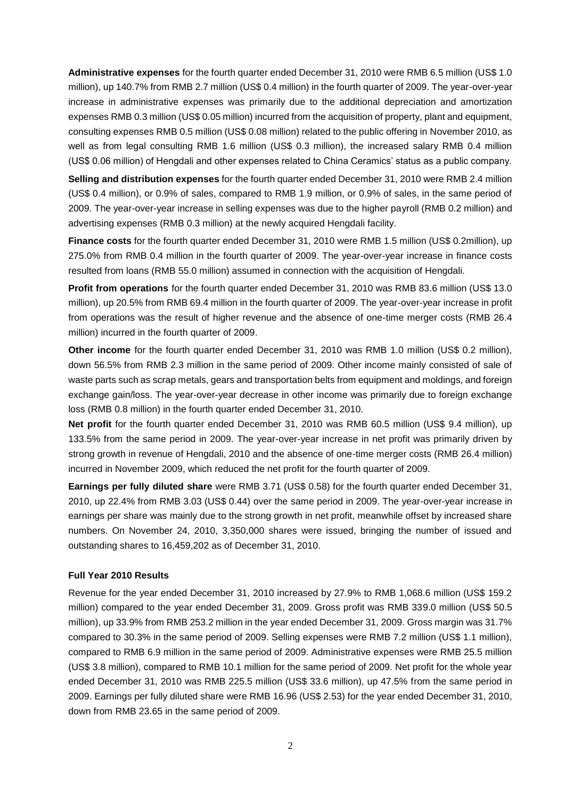**Administrative expenses** for the fourth quarter ended December 31, 2010 were RMB 6.5 million (US\$ 1.0 million), up 140.7% from RMB 2.7 million (US\$ 0.4 million) in the fourth quarter of 2009. The year-over-year increase in administrative expenses was primarily due to the additional depreciation and amortization expenses RMB 0.3 million (US\$ 0.05 million) incurred from the acquisition of property, plant and equipment, consulting expenses RMB 0.5 million (US\$ 0.08 million) related to the public offering in November 2010, as well as from legal consulting RMB 1.6 million (US\$ 0.3 million), the increased salary RMB 0.4 million (US\$ 0.06 million) of Hengdali and other expenses related to China Ceramics' status as a public company.

**Selling and distribution expenses** for the fourth quarter ended December 31, 2010 were RMB 2.4 million (US\$ 0.4 million), or 0.9% of sales, compared to RMB 1.9 million, or 0.9% of sales, in the same period of 2009. The year-over-year increase in selling expenses was due to the higher payroll (RMB 0.2 million) and advertising expenses (RMB 0.3 million) at the newly acquired Hengdali facility.

**Finance costs** for the fourth quarter ended December 31, 2010 were RMB 1.5 million (US\$ 0.2million), up 275.0% from RMB 0.4 million in the fourth quarter of 2009. The year-over-year increase in finance costs resulted from loans (RMB 55.0 million) assumed in connection with the acquisition of Hengdali.

**Profit from operations** for the fourth quarter ended December 31, 2010 was RMB 83.6 million (US\$ 13.0 million), up 20.5% from RMB 69.4 million in the fourth quarter of 2009. The year-over-year increase in profit from operations was the result of higher revenue and the absence of one-time merger costs (RMB 26.4) million) incurred in the fourth quarter of 2009.

**Other income** for the fourth quarter ended December 31, 2010 was RMB 1.0 million (US\$ 0.2 million), down 56.5% from RMB 2.3 million in the same period of 2009. Other income mainly consisted of sale of waste parts such as scrap metals, gears and transportation belts from equipment and moldings, and foreign exchange gain/loss. The year-over-year decrease in other income was primarily due to foreign exchange loss (RMB 0.8 million) in the fourth quarter ended December 31, 2010.

**Net profit** for the fourth quarter ended December 31, 2010 was RMB 60.5 million (US\$ 9.4 million), up 133.5% from the same period in 2009. The year-over-year increase in net profit was primarily driven by strong growth in revenue of Hengdali, 2010 and the absence of one-time merger costs (RMB 26.4 million) incurred in November 2009, which reduced the net profit for the fourth quarter of 2009.

**Earnings per fully diluted share** were RMB 3.71 (US\$ 0.58) for the fourth quarter ended December 31, 2010, up 22.4% from RMB 3.03 (US\$ 0.44) over the same period in 2009. The year-over-year increase in earnings per share was mainly due to the strong growth in net profit, meanwhile offset by increased share numbers. On November 24, 2010, 3,350,000 shares were issued, bringing the number of issued and outstanding shares to 16,459,202 as of December 31, 2010.

## **Full Year 2010 Results**

Revenue for the year ended December 31, 2010 increased by 27.9% to RMB 1,068.6 million (US\$ 159.2 million) compared to the year ended December 31, 2009. Gross profit was RMB 339.0 million (US\$ 50.5 million), up 33.9% from RMB 253.2 million in the year ended December 31, 2009. Gross margin was 31.7% compared to 30.3% in the same period of 2009. Selling expenses were RMB 7.2 million (US\$ 1.1 million), compared to RMB 6.9 million in the same period of 2009. Administrative expenses were RMB 25.5 million (US\$ 3.8 million), compared to RMB 10.1 million for the same period of 2009. Net profit for the whole year ended December 31, 2010 was RMB 225.5 million (US\$ 33.6 million), up 47.5% from the same period in 2009. Earnings per fully diluted share were RMB 16.96 (US\$ 2.53) for the year ended December 31, 2010, down from RMB 23.65 in the same period of 2009.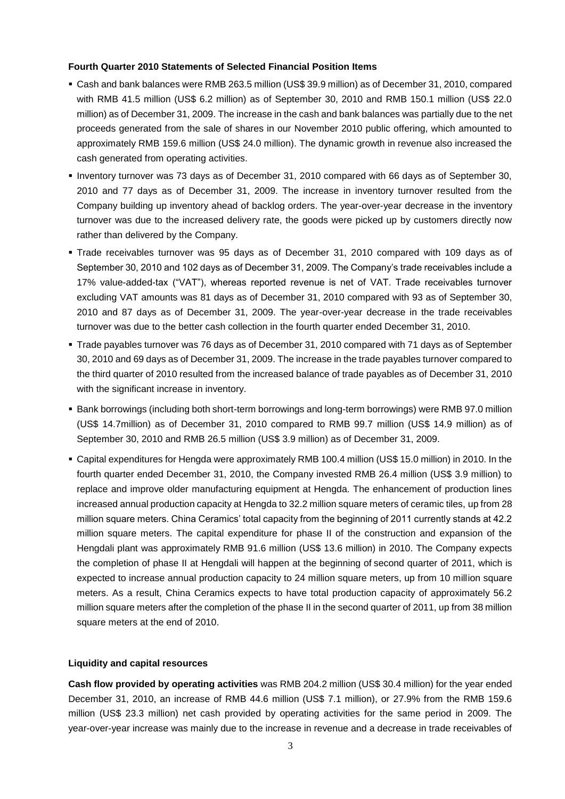#### **Fourth Quarter 2010 Statements of Selected Financial Position Items**

- Cash and bank balances were RMB 263.5 million (US\$ 39.9 million) as of December 31, 2010, compared with RMB 41.5 million (US\$ 6.2 million) as of September 30, 2010 and RMB 150.1 million (US\$ 22.0 million) as of December 31, 2009. The increase in the cash and bank balances was partially due to the net proceeds generated from the sale of shares in our November 2010 public offering, which amounted to approximately RMB 159.6 million (US\$ 24.0 million). The dynamic growth in revenue also increased the cash generated from operating activities.
- Inventory turnover was 73 days as of December 31, 2010 compared with 66 days as of September 30, 2010 and 77 days as of December 31, 2009. The increase in inventory turnover resulted from the Company building up inventory ahead of backlog orders. The year-over-year decrease in the inventory turnover was due to the increased delivery rate, the goods were picked up by customers directly now rather than delivered by the Company.
- Trade receivables turnover was 95 days as of December 31, 2010 compared with 109 days as of September 30, 2010 and 102 days as of December 31, 2009. The Company's trade receivables include a 17% value-added-tax ("VAT"), whereas reported revenue is net of VAT. Trade receivables turnover excluding VAT amounts was 81 days as of December 31, 2010 compared with 93 as of September 30, 2010 and 87 days as of December 31, 2009. The year-over-year decrease in the trade receivables turnover was due to the better cash collection in the fourth quarter ended December 31, 2010.
- Trade payables turnover was 76 days as of December 31, 2010 compared with 71 days as of September 30, 2010 and 69 days as of December 31, 2009. The increase in the trade payables turnover compared to the third quarter of 2010 resulted from the increased balance of trade payables as of December 31, 2010 with the significant increase in inventory.
- **Bank borrowings (including both short-term borrowings and long-term borrowings) were RMB 97.0 million** (US\$ 14.7million) as of December 31, 2010 compared to RMB 99.7 million (US\$ 14.9 million) as of September 30, 2010 and RMB 26.5 million (US\$ 3.9 million) as of December 31, 2009.
- Capital expenditures for Hengda were approximately RMB 100.4 million (US\$ 15.0 million) in 2010. In the fourth quarter ended December 31, 2010, the Company invested RMB 26.4 million (US\$ 3.9 million) to replace and improve older manufacturing equipment at Hengda. The enhancement of production lines increased annual production capacity at Hengda to 32.2 million square meters of ceramic tiles, up from 28 million square meters. China Ceramics' total capacity from the beginning of 2011 currently stands at 42.2 million square meters. The capital expenditure for phase II of the construction and expansion of the Hengdali plant was approximately RMB 91.6 million (US\$ 13.6 million) in 2010. The Company expects the completion of phase II at Hengdali will happen at the beginning of second quarter of 2011, which is expected to increase annual production capacity to 24 million square meters, up from 10 million square meters. As a result, China Ceramics expects to have total production capacity of approximately 56.2 million square meters after the completion of the phase II in the second quarter of 2011, up from 38 million square meters at the end of 2010.

## **Liquidity and capital resources**

**Cash flow provided by operating activities** was RMB 204.2 million (US\$ 30.4 million) for the year ended December 31, 2010, an increase of RMB 44.6 million (US\$ 7.1 million), or 27.9% from the RMB 159.6 million (US\$ 23.3 million) net cash provided by operating activities for the same period in 2009. The year-over-year increase was mainly due to the increase in revenue and a decrease in trade receivables of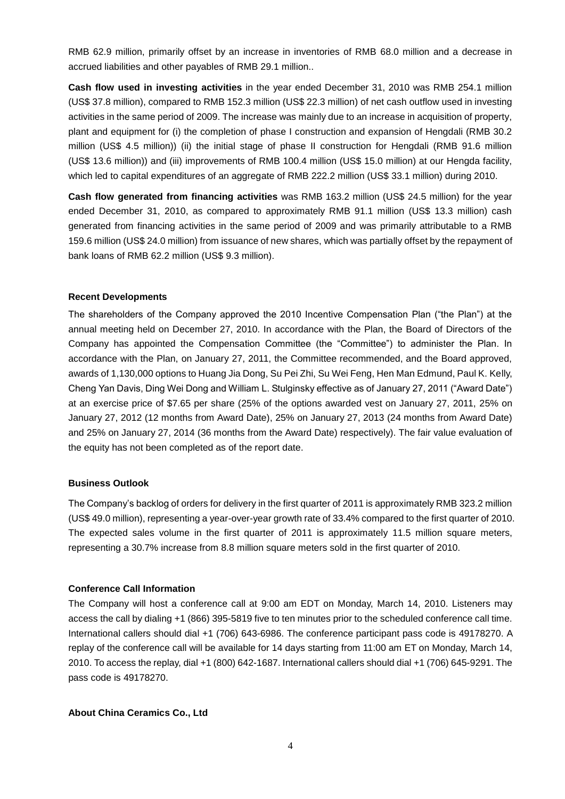RMB 62.9 million, primarily offset by an increase in inventories of RMB 68.0 million and a decrease in accrued liabilities and other payables of RMB 29.1 million..

**Cash flow used in investing activities** in the year ended December 31, 2010 was RMB 254.1 million (US\$ 37.8 million), compared to RMB 152.3 million (US\$ 22.3 million) of net cash outflow used in investing activities in the same period of 2009. The increase was mainly due to an increase in acquisition of property, plant and equipment for (i) the completion of phase I construction and expansion of Hengdali (RMB 30.2 million (US\$ 4.5 million)) (ii) the initial stage of phase II construction for Hengdali (RMB 91.6 million (US\$ 13.6 million)) and (iii) improvements of RMB 100.4 million (US\$ 15.0 million) at our Hengda facility, which led to capital expenditures of an aggregate of RMB 222.2 million (US\$ 33.1 million) during 2010.

**Cash flow generated from financing activities** was RMB 163.2 million (US\$ 24.5 million) for the year ended December 31, 2010, as compared to approximately RMB 91.1 million (US\$ 13.3 million) cash generated from financing activities in the same period of 2009 and was primarily attributable to a RMB 159.6 million (US\$ 24.0 million) from issuance of new shares, which was partially offset by the repayment of bank loans of RMB 62.2 million (US\$ 9.3 million).

#### **Recent Developments**

The shareholders of the Company approved the 2010 Incentive Compensation Plan ("the Plan") at the annual meeting held on December 27, 2010. In accordance with the Plan, the Board of Directors of the Company has appointed the Compensation Committee (the "Committee") to administer the Plan. In accordance with the Plan, on January 27, 2011, the Committee recommended, and the Board approved, awards of 1,130,000 options to Huang Jia Dong, Su Pei Zhi, Su Wei Feng, Hen Man Edmund, Paul K. Kelly, Cheng Yan Davis, Ding Wei Dong and William L. Stulginsky effective as of January 27, 2011 ("Award Date") at an exercise price of \$7.65 per share (25% of the options awarded vest on January 27, 2011, 25% on January 27, 2012 (12 months from Award Date), 25% on January 27, 2013 (24 months from Award Date) and 25% on January 27, 2014 (36 months from the Award Date) respectively). The fair value evaluation of the equity has not been completed as of the report date.

#### **Business Outlook**

The Company's backlog of orders for delivery in the first quarter of 2011 is approximately RMB 323.2 million (US\$ 49.0 million), representing a year-over-year growth rate of 33.4% compared to the first quarter of 2010. The expected sales volume in the first quarter of 2011 is approximately 11.5 million square meters, representing a 30.7% increase from 8.8 million square meters sold in the first quarter of 2010.

#### **Conference Call Information**

The Company will host a conference call at 9:00 am EDT on Monday, March 14, 2010. Listeners may access the call by dialing +1 (866) 395-5819 five to ten minutes prior to the scheduled conference call time. International callers should dial +1 (706) 643-6986. The conference participant pass code is 49178270. A replay of the conference call will be available for 14 days starting from 11:00 am ET on Monday, March 14, 2010. To access the replay, dial +1 (800) 642-1687. International callers should dial +1 (706) 645-9291. The pass code is 49178270.

#### **About China Ceramics Co., Ltd**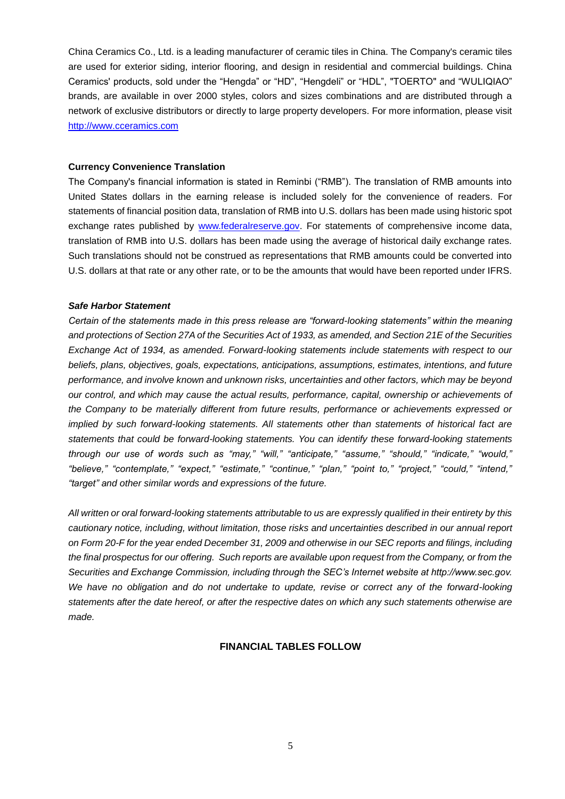China Ceramics Co., Ltd. is a leading manufacturer of ceramic tiles in China. The Company's ceramic tiles are used for exterior siding, interior flooring, and design in residential and commercial buildings. China Ceramics' products, sold under the "Hengda" or "HD", "Hengdeli" or "HDL", "TOERTO" and "WULIQIAO" brands, are available in over 2000 styles, colors and sizes combinations and are distributed through a network of exclusive distributors or directly to large property developers. For more information, please visit [http://www.cceramics.com](http://www.cceramics.com/)

#### **Currency Convenience Translation**

The Company's financial information is stated in Reminbi ("RMB"). The translation of RMB amounts into United States dollars in the earning release is included solely for the convenience of readers. For statements of financial position data, translation of RMB into U.S. dollars has been made using historic spot exchange rates published by [www.federalreserve.gov.](http://www.federalreserve.gov/) For statements of comprehensive income data, translation of RMB into U.S. dollars has been made using the average of historical daily exchange rates. Such translations should not be construed as representations that RMB amounts could be converted into U.S. dollars at that rate or any other rate, or to be the amounts that would have been reported under IFRS.

#### *Safe Harbor Statement*

*Certain of the statements made in this press release are "forward-looking statements" within the meaning and protections of Section 27A of the Securities Act of 1933, as amended, and Section 21E of the Securities Exchange Act of 1934, as amended. Forward-looking statements include statements with respect to our beliefs, plans, objectives, goals, expectations, anticipations, assumptions, estimates, intentions, and future performance, and involve known and unknown risks, uncertainties and other factors, which may be beyond our control, and which may cause the actual results, performance, capital, ownership or achievements of the Company to be materially different from future results, performance or achievements expressed or implied by such forward-looking statements. All statements other than statements of historical fact are statements that could be forward-looking statements. You can identify these forward-looking statements through our use of words such as "may," "will," "anticipate," "assume," "should," "indicate," "would," "believe," "contemplate," "expect," "estimate," "continue," "plan," "point to," "project," "could," "intend," "target" and other similar words and expressions of the future.* 

*All written or oral forward-looking statements attributable to us are expressly qualified in their entirety by this cautionary notice, including, without limitation, those risks and uncertainties described in our annual report on Form 20-F for the year ended December 31, 2009 and otherwise in our SEC reports and filings, including the final prospectus for our offering. Such reports are available upon request from the Company, or from the Securities and Exchange Commission, including through the SEC's Internet website at http://www.sec.gov. We have no obligation and do not undertake to update, revise or correct any of the forward-looking statements after the date hereof, or after the respective dates on which any such statements otherwise are made.*

## **FINANCIAL TABLES FOLLOW**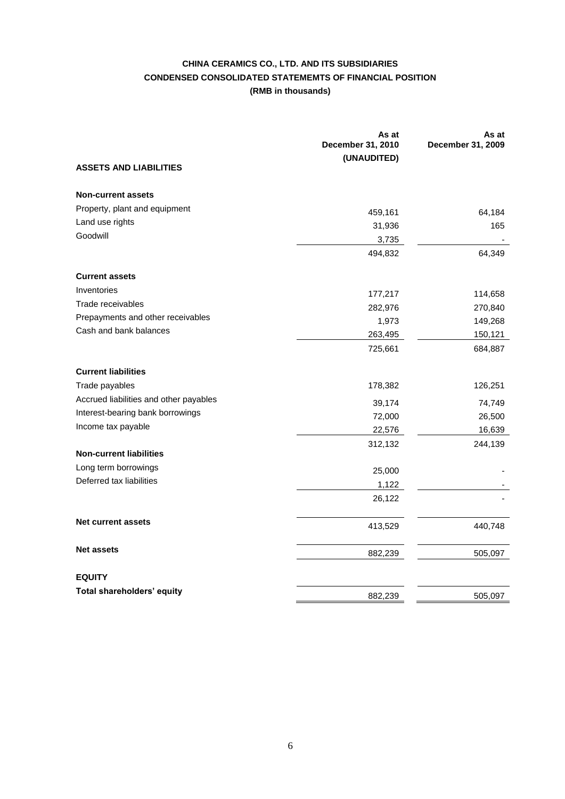## **CHINA CERAMICS CO., LTD. AND ITS SUBSIDIARIES CONDENSED CONSOLIDATED STATEMEMTS OF FINANCIAL POSITION (RMB in thousands)**

|                                        | As at<br>December 31, 2010 | As at<br>December 31, 2009 |
|----------------------------------------|----------------------------|----------------------------|
|                                        | (UNAUDITED)                |                            |
| <b>ASSETS AND LIABILITIES</b>          |                            |                            |
| <b>Non-current assets</b>              |                            |                            |
| Property, plant and equipment          | 459,161                    | 64,184                     |
| Land use rights                        | 31,936                     | 165                        |
| Goodwill                               | 3,735                      |                            |
|                                        | 494,832                    | 64,349                     |
| <b>Current assets</b>                  |                            |                            |
| Inventories                            | 177,217                    | 114,658                    |
| Trade receivables                      | 282,976                    | 270,840                    |
| Prepayments and other receivables      | 1,973                      | 149,268                    |
| Cash and bank balances                 | 263,495                    | 150,121                    |
|                                        | 725,661                    | 684,887                    |
| <b>Current liabilities</b>             |                            |                            |
| Trade payables                         | 178,382                    | 126,251                    |
| Accrued liabilities and other payables | 39,174                     | 74,749                     |
| Interest-bearing bank borrowings       | 72,000                     | 26,500                     |
| Income tax payable                     | 22,576                     | 16,639                     |
|                                        | 312,132                    | 244,139                    |
| <b>Non-current liabilities</b>         |                            |                            |
| Long term borrowings                   | 25,000                     |                            |
| Deferred tax liabilities               | 1,122                      |                            |
|                                        | 26,122                     |                            |
| <b>Net current assets</b>              | 413,529                    | 440,748                    |
| <b>Net assets</b>                      | 882,239                    | 505,097                    |
| <b>EQUITY</b>                          |                            |                            |
| Total shareholders' equity             | 882,239                    | 505,097                    |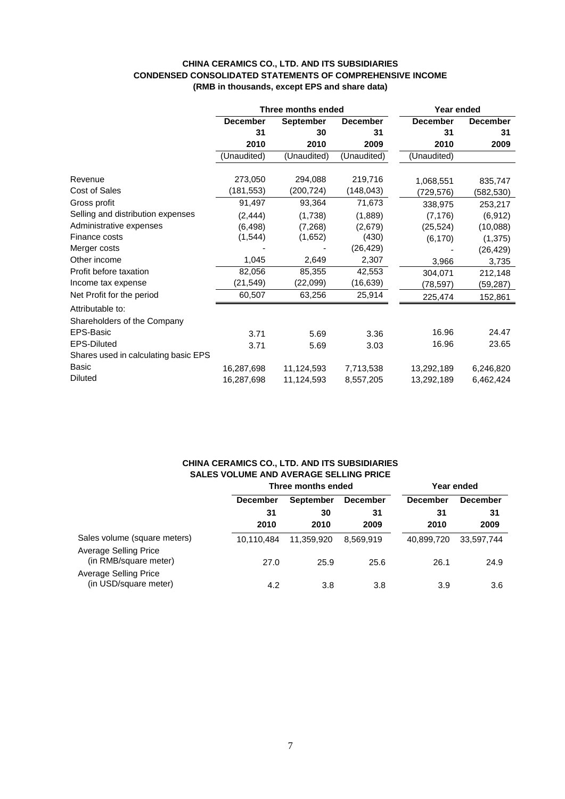#### **CHINA CERAMICS CO., LTD. AND ITS SUBSIDIARIES CONDENSED CONSOLIDATED STATEMENTS OF COMPREHENSIVE INCOME (RMB in thousands, except EPS and share data)**

|                                      | Three months ended |                  | Year ended      |                 |                 |
|--------------------------------------|--------------------|------------------|-----------------|-----------------|-----------------|
|                                      | <b>December</b>    | <b>September</b> | <b>December</b> | <b>December</b> | <b>December</b> |
|                                      | 31                 | 30               | 31              | 31              | 31              |
|                                      | 2010               | 2010             | 2009            | 2010            | 2009            |
|                                      | (Unaudited)        | (Unaudited)      | (Unaudited)     | (Unaudited)     |                 |
| Revenue                              | 273,050            | 294,088          | 219,716         | 1,068,551       | 835,747         |
| <b>Cost of Sales</b>                 | (181, 553)         | (200, 724)       | (148, 043)      | (729,576)       | (582,530)       |
| Gross profit                         | 91,497             | 93,364           | 71,673          | 338,975         | 253,217         |
| Selling and distribution expenses    | (2, 444)           | (1,738)          | (1,889)         | (7, 176)        | (6, 912)        |
| Administrative expenses              | (6, 498)           | (7,268)          | (2,679)         | (25, 524)       | (10,088)        |
| Finance costs                        | (1, 544)           | (1,652)          | (430)           | (6, 170)        | (1, 375)        |
| Merger costs                         |                    |                  | (26, 429)       |                 | (26, 429)       |
| Other income                         | 1,045              | 2,649            | 2,307           | 3,966           | 3,735           |
| Profit before taxation               | 82,056             | 85,355           | 42,553          | 304,071         | 212,148         |
| Income tax expense                   | (21, 549)          | (22,099)         | (16, 639)       | (78,597)        | (59,287)        |
| Net Profit for the period            | 60,507             | 63,256           | 25,914          | 225,474         | 152,861         |
| Attributable to:                     |                    |                  |                 |                 |                 |
| Shareholders of the Company          |                    |                  |                 |                 |                 |
| EPS-Basic                            | 3.71               | 5.69             | 3.36            | 16.96           | 24.47           |
| <b>EPS-Diluted</b>                   | 3.71               | 5.69             | 3.03            | 16.96           | 23.65           |
| Shares used in calculating basic EPS |                    |                  |                 |                 |                 |
| Basic                                | 16,287,698         | 11,124,593       | 7,713,538       | 13,292,189      | 6,246,820       |
| <b>Diluted</b>                       | 16,287,698         | 11,124,593       | 8,557,205       | 13,292,189      | 6,462,424       |

## **CHINA CERAMICS CO., LTD. AND ITS SUBSIDIARIES SALES VOLUME AND AVERAGE SELLING PRICE**

|                                                       | Three months ended |                  |                 | Year ended      |                 |
|-------------------------------------------------------|--------------------|------------------|-----------------|-----------------|-----------------|
|                                                       | <b>December</b>    | <b>September</b> | <b>December</b> | <b>December</b> | <b>December</b> |
|                                                       | 31<br>2010         | 30<br>2010       | 31<br>2009      | -31<br>2010     | 31<br>2009      |
| Sales volume (square meters)<br>Average Selling Price | 10.110.484         | 11.359.920       | 8.569.919       | 40,899,720      | 33.597.744      |
| (in RMB/square meter)                                 | 27.0               | 25.9             | 25.6            | 26.1            | 24.9            |
| <b>Average Selling Price</b><br>(in USD/square meter) | 4.2                | 3.8              | 3.8             | 3.9             | 3.6             |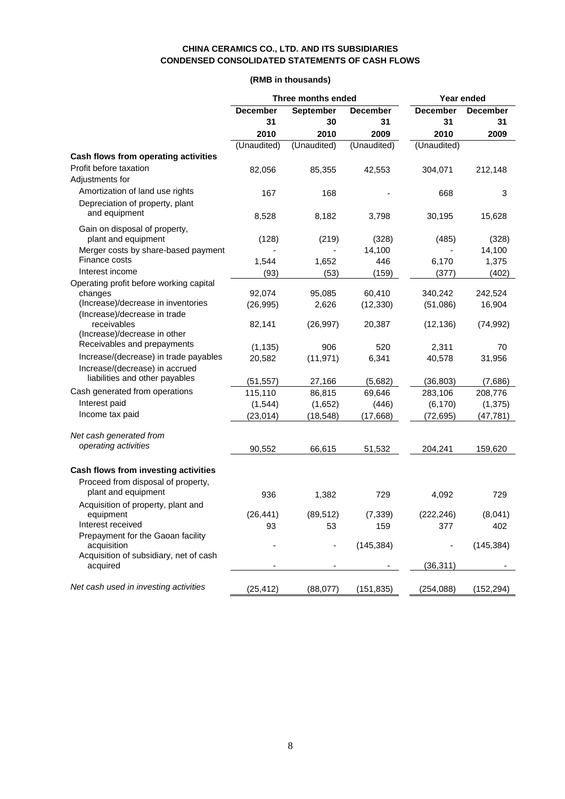## **CHINA CERAMICS CO., LTD. AND ITS SUBSIDIARIES CONDENSED CONSOLIDATED STATEMENTS OF CASH FLOWS**

## **(RMB in thousands)**

|                                                  | Three months ended |                  | Year ended      |                 |                 |
|--------------------------------------------------|--------------------|------------------|-----------------|-----------------|-----------------|
|                                                  | <b>December</b>    | <b>September</b> | <b>December</b> | <b>December</b> | <b>December</b> |
|                                                  | 31                 | 30               | 31              | 31              | 31              |
|                                                  | 2010               | 2010             | 2009            | 2010            | 2009            |
|                                                  | (Unaudited)        | (Unaudited)      | (Unaudited)     | (Unaudited)     |                 |
| Cash flows from operating activities             |                    |                  |                 |                 |                 |
| Profit before taxation                           | 82,056             | 85,355           | 42,553          | 304,071         | 212,148         |
| Adjustments for                                  |                    |                  |                 |                 |                 |
| Amortization of land use rights                  | 167                | 168              |                 | 668             | 3               |
| Depreciation of property, plant                  |                    |                  |                 |                 |                 |
| and equipment                                    | 8,528              | 8,182            | 3,798           | 30,195          | 15,628          |
| Gain on disposal of property,                    |                    |                  |                 |                 |                 |
| plant and equipment                              | (128)              | (219)            | (328)           | (485)           | (328)           |
| Merger costs by share-based payment              |                    |                  | 14,100          |                 | 14,100          |
| Finance costs                                    | 1,544              | 1,652            | 446             | 6,170           | 1,375           |
| Interest income                                  | (93)               | (53)             | (159)           | (377)           | (402)           |
| Operating profit before working capital          |                    |                  |                 |                 |                 |
| changes                                          | 92,074             | 95,085           | 60,410          | 340,242         | 242,524         |
| (Increase)/decrease in inventories               | (26, 995)          | 2,626            | (12, 330)       | (51,086)        | 16,904          |
| (Increase)/decrease in trade<br>receivables      | 82,141             | (26, 997)        | 20,387          | (12, 136)       | (74, 992)       |
| (Increase)/decrease in other                     |                    |                  |                 |                 |                 |
| Receivables and prepayments                      | (1, 135)           | 906              | 520             | 2,311           | 70              |
| Increase/(decrease) in trade payables            | 20,582             | (11, 971)        | 6,341           | 40,578          | 31,956          |
| Increase/(decrease) in accrued                   |                    |                  |                 |                 |                 |
| liabilities and other payables                   | (51, 557)          | 27,166           | (5,682)         | (36, 803)       | (7,686)         |
| Cash generated from operations                   | 115,110            | 86,815           | 69,646          | 283,106         | 208,776         |
| Interest paid                                    | (1, 544)           | (1,652)          | (446)           | (6, 170)        | (1, 375)        |
| Income tax paid                                  | (23, 014)          | (18, 548)        | (17, 668)       | (72, 695)       | (47, 781)       |
|                                                  |                    |                  |                 |                 |                 |
| Net cash generated from                          |                    |                  |                 |                 |                 |
| operating activities                             | 90,552             | 66,615           | 51,532          | 204,241         | 159,620         |
|                                                  |                    |                  |                 |                 |                 |
| Cash flows from investing activities             |                    |                  |                 |                 |                 |
| Proceed from disposal of property,               |                    |                  |                 |                 |                 |
| plant and equipment                              | 936                | 1,382            | 729             | 4,092           | 729             |
| Acquisition of property, plant and               |                    |                  |                 |                 |                 |
| equipment                                        | (26, 441)          | (89, 512)        | (7, 339)        | (222, 246)      | (8,041)         |
| Interest received                                | 93                 | 53               | 159             | 377             | 402             |
| Prepayment for the Gaoan facility<br>acquisition |                    |                  | (145, 384)      |                 | (145, 384)      |
| Acquisition of subsidiary, net of cash           |                    |                  |                 |                 |                 |
| acquired                                         |                    |                  |                 | (36, 311)       |                 |
|                                                  |                    |                  |                 |                 |                 |
| Net cash used in investing activities            | (25, 412)          | (88,077)         | (151, 835)      | (254, 088)      | (152, 294)      |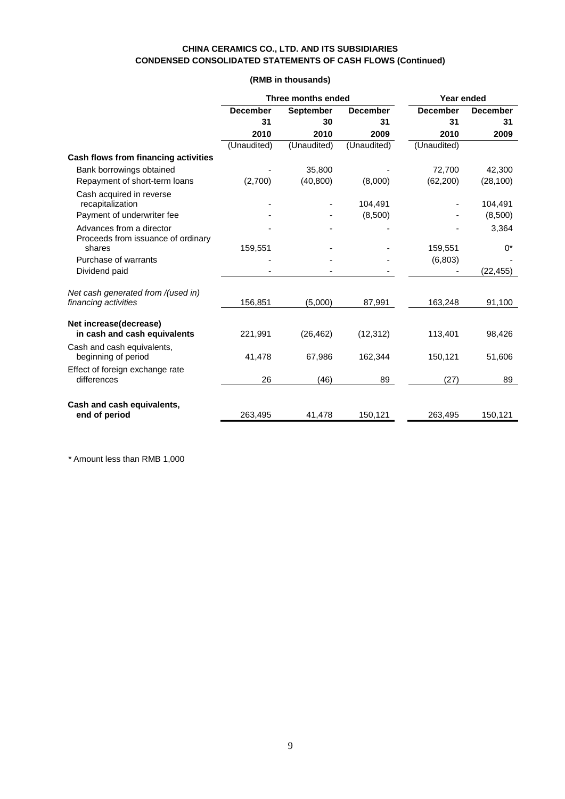## **CHINA CERAMICS CO., LTD. AND ITS SUBSIDIARIES CONDENSED CONSOLIDATED STATEMENTS OF CASH FLOWS (Continued)**

## **(RMB in thousands)**

|                                                                | <b>Three months ended</b> |             |                 | Year ended      |                 |  |
|----------------------------------------------------------------|---------------------------|-------------|-----------------|-----------------|-----------------|--|
|                                                                | <b>December</b>           | September   | <b>December</b> | <b>December</b> | <b>December</b> |  |
|                                                                | 31                        | 30          | 31              | 31              | 31              |  |
|                                                                | 2010                      | 2010        | 2009            | 2010            | 2009            |  |
|                                                                | (Unaudited)               | (Unaudited) | (Unaudited)     | (Unaudited)     |                 |  |
| Cash flows from financing activities                           |                           |             |                 |                 |                 |  |
| Bank borrowings obtained                                       |                           | 35,800      |                 | 72,700          | 42,300          |  |
| Repayment of short-term loans                                  | (2,700)                   | (40, 800)   | (8,000)         | (62, 200)       | (28, 100)       |  |
| Cash acquired in reverse                                       |                           |             |                 |                 |                 |  |
| recapitalization                                               |                           |             | 104,491         |                 | 104,491         |  |
| Payment of underwriter fee                                     |                           |             | (8,500)         |                 | (8,500)         |  |
| Advances from a director<br>Proceeds from issuance of ordinary |                           |             |                 |                 | 3,364           |  |
| shares                                                         | 159,551                   |             |                 | 159,551         | $0^*$           |  |
| Purchase of warrants                                           |                           |             |                 | (6, 803)        |                 |  |
| Dividend paid                                                  |                           |             |                 |                 | (22, 455)       |  |
| Net cash generated from /(used in)                             |                           |             |                 |                 |                 |  |
| financing activities                                           | 156,851                   | (5,000)     | 87,991          | 163,248         | 91,100          |  |
| Net increase(decrease)                                         |                           |             |                 |                 |                 |  |
| in cash and cash equivalents                                   | 221,991                   | (26, 462)   | (12, 312)       | 113,401         | 98,426          |  |
| Cash and cash equivalents,<br>beginning of period              | 41,478                    | 67,986      | 162,344         | 150,121         | 51,606          |  |
| Effect of foreign exchange rate<br>differences                 | 26                        | (46)        | 89              | (27)            | 89              |  |
| Cash and cash equivalents,<br>end of period                    | 263.495                   | 41,478      | 150,121         | 263,495         | 150,121         |  |
|                                                                |                           |             |                 |                 |                 |  |

\* Amount less than RMB 1,000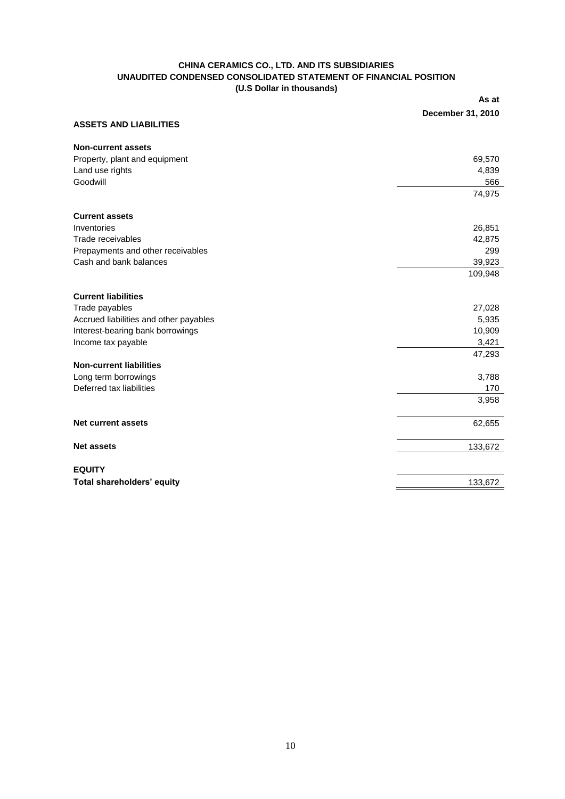#### **CHINA CERAMICS CO., LTD. AND ITS SUBSIDIARIES UNAUDITED CONDENSED CONSOLIDATED STATEMENT OF FINANCIAL POSITION (U.S Dollar in thousands)**

**As at** 

|                                        | December 31, 2010 |
|----------------------------------------|-------------------|
| <b>ASSETS AND LIABILITIES</b>          |                   |
| <b>Non-current assets</b>              |                   |
| Property, plant and equipment          | 69,570            |
| Land use rights                        | 4,839             |
| Goodwill                               | 566               |
|                                        | 74,975            |
| <b>Current assets</b>                  |                   |
| Inventories                            | 26,851            |
| Trade receivables                      | 42,875            |
| Prepayments and other receivables      | 299               |
| Cash and bank balances                 | 39,923            |
|                                        | 109,948           |
| <b>Current liabilities</b>             |                   |
| Trade payables                         | 27,028            |
| Accrued liabilities and other payables | 5,935             |
| Interest-bearing bank borrowings       | 10,909            |
| Income tax payable                     | 3,421             |
| <b>Non-current liabilities</b>         | 47,293            |
| Long term borrowings                   | 3,788             |
| Deferred tax liabilities               | 170               |
|                                        | 3,958             |
| <b>Net current assets</b>              | 62,655            |
|                                        |                   |
| <b>Net assets</b>                      | 133,672           |
| <b>EQUITY</b>                          |                   |
| Total shareholders' equity             | 133,672           |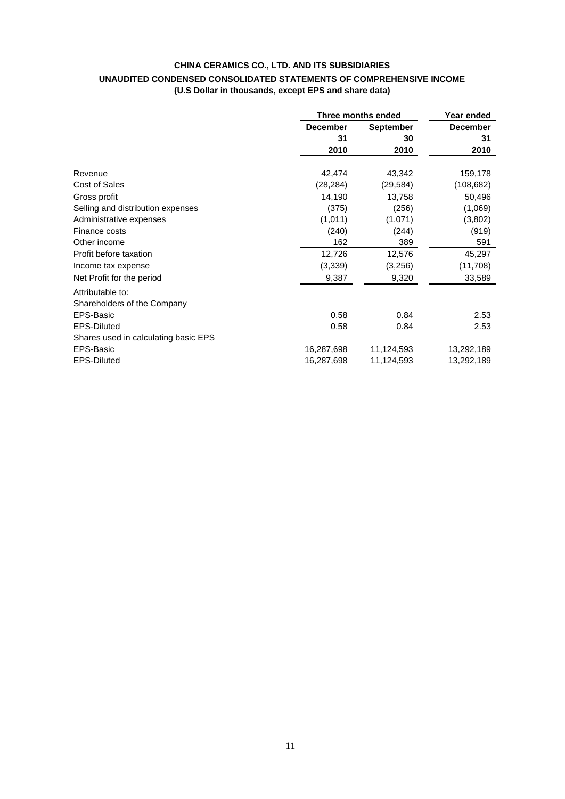## **CHINA CERAMICS CO., LTD. AND ITS SUBSIDIARIES UNAUDITED CONDENSED CONSOLIDATED STATEMENTS OF COMPREHENSIVE INCOME (U.S Dollar in thousands, except EPS and share data)**

|                                                 |                 | Three months ended |                 |  |
|-------------------------------------------------|-----------------|--------------------|-----------------|--|
|                                                 | <b>December</b> | <b>September</b>   | <b>December</b> |  |
|                                                 | 31              | 30                 | 31              |  |
|                                                 | 2010            | 2010               | 2010            |  |
| Revenue                                         | 42,474          | 43,342             | 159,178         |  |
| Cost of Sales                                   | (28,284)        | (29,584)           | (108,682)       |  |
| Gross profit                                    | 14,190          | 13,758             | 50,496          |  |
| Selling and distribution expenses               | (375)           | (256)              | (1,069)         |  |
| Administrative expenses                         | (1,011)         | (1,071)            | (3,802)         |  |
| Finance costs                                   | (240)           | (244)              | (919)           |  |
| Other income                                    | 162             | 389                | 591             |  |
| Profit before taxation                          | 12,726          | 12,576             | 45,297          |  |
| Income tax expense                              | (3,339)         | (3,256)            | (11,708)        |  |
| Net Profit for the period                       | 9,387           | 9,320              | 33,589          |  |
| Attributable to:<br>Shareholders of the Company |                 |                    |                 |  |
| EPS-Basic                                       | 0.58            | 0.84               | 2.53            |  |
| <b>EPS-Diluted</b>                              | 0.58            | 0.84               | 2.53            |  |
| Shares used in calculating basic EPS            |                 |                    |                 |  |
| EPS-Basic                                       | 16,287,698      | 11,124,593         | 13,292,189      |  |
| <b>EPS-Diluted</b>                              | 16,287,698      | 11,124,593         | 13,292,189      |  |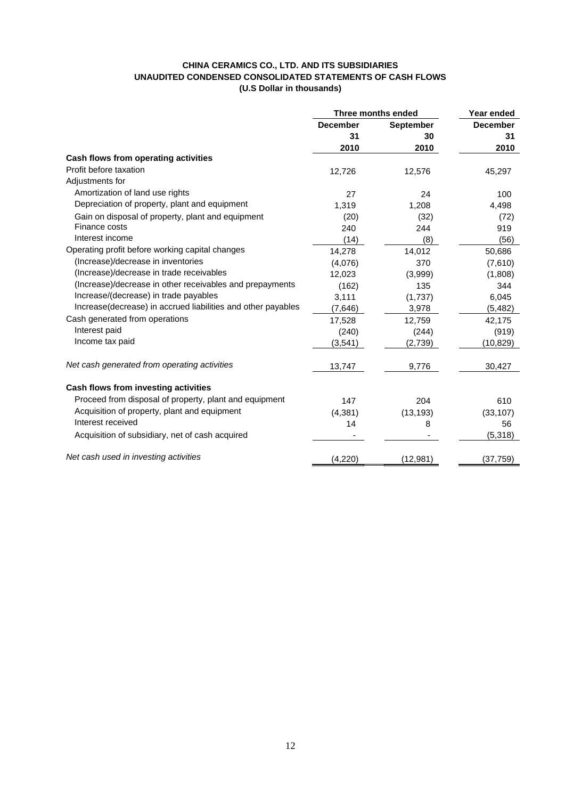## **CHINA CERAMICS CO., LTD. AND ITS SUBSIDIARIES UNAUDITED CONDENSED CONSOLIDATED STATEMENTS OF CASH FLOWS (U.S Dollar in thousands)**

|                                                              | Three months ended                  | Year ended |                 |
|--------------------------------------------------------------|-------------------------------------|------------|-----------------|
|                                                              | <b>December</b><br><b>September</b> |            | <b>December</b> |
|                                                              | 31                                  | 30         | 31              |
|                                                              | 2010                                | 2010       | 2010            |
| Cash flows from operating activities                         |                                     |            |                 |
| Profit before taxation                                       | 12,726                              | 12,576     | 45,297          |
| Adjustments for                                              |                                     |            |                 |
| Amortization of land use rights                              | 27                                  | 24         | 100             |
| Depreciation of property, plant and equipment                | 1,319                               | 1,208      | 4,498           |
| Gain on disposal of property, plant and equipment            | (20)                                | (32)       | (72)            |
| Finance costs                                                | 240                                 | 244        | 919             |
| Interest income                                              | (14)                                | (8)        | (56)            |
| Operating profit before working capital changes              | 14,278                              | 14,012     | 50,686          |
| (Increase)/decrease in inventories                           | (4,076)                             | 370        | (7,610)         |
| (Increase)/decrease in trade receivables                     | 12,023                              | (3,999)    | (1,808)         |
| (Increase)/decrease in other receivables and prepayments     | (162)                               | 135        | 344             |
| Increase/(decrease) in trade payables                        | 3,111                               | (1,737)    | 6,045           |
| Increase(decrease) in accrued liabilities and other payables | (7,646)                             | 3,978      | (5, 482)        |
| Cash generated from operations                               | 17,528                              | 12,759     | 42,175          |
| Interest paid                                                | (240)                               | (244)      | (919)           |
| Income tax paid                                              | (3, 541)                            | (2,739)    | (10, 829)       |
| Net cash generated from operating activities                 | 13,747                              | 9,776      | 30,427          |
| Cash flows from investing activities                         |                                     |            |                 |
| Proceed from disposal of property, plant and equipment       | 147                                 | 204        | 610             |
| Acquisition of property, plant and equipment                 | (4, 381)                            | (13, 193)  | (33, 107)       |
| Interest received                                            | 14                                  | 8          | 56              |
| Acquisition of subsidiary, net of cash acquired              |                                     |            | (5,318)         |
| Net cash used in investing activities                        | (4,220)                             | (12, 981)  | (37, 759)       |